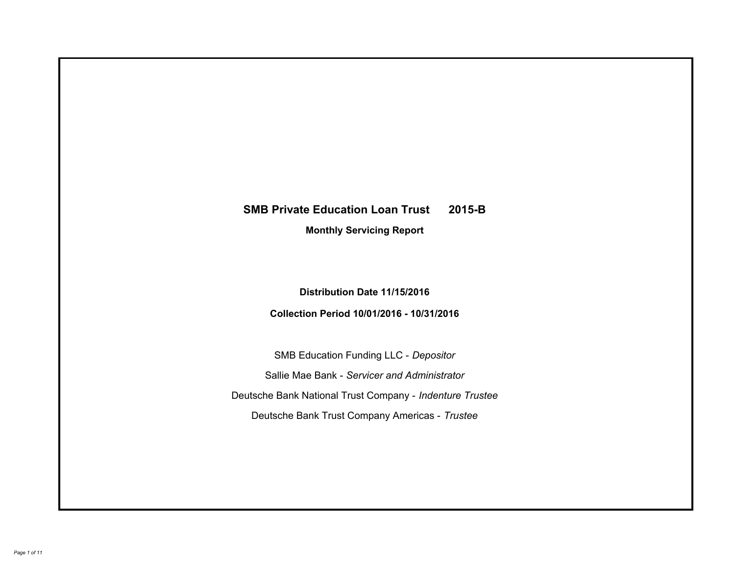# **SMB Private Education Loan Trust 2015-B Monthly Servicing Report**

## **Distribution Date 11/15/2016**

## **Collection Period 10/01/2016 - 10/31/2016**

SMB Education Funding LLC - *Depositor* Sallie Mae Bank - *Servicer and Administrator* Deutsche Bank National Trust Company - *Indenture Trustee* Deutsche Bank Trust Company Americas - *Trustee*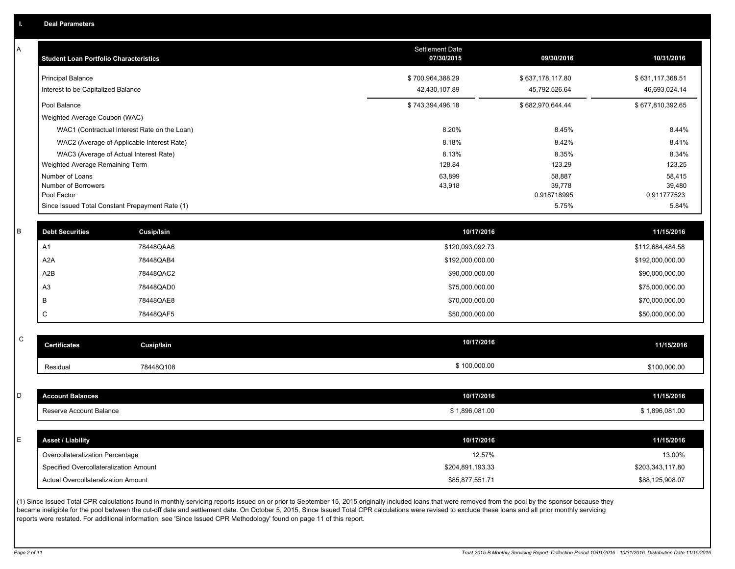A

| Α           | <b>Student Loan Portfolio Characteristics</b> |                                                 | <b>Settlement Date</b><br>07/30/2015 | 09/30/2016       | 10/31/2016       |
|-------------|-----------------------------------------------|-------------------------------------------------|--------------------------------------|------------------|------------------|
|             | <b>Principal Balance</b>                      |                                                 | \$700,964,388.29                     | \$637,178,117.80 | \$631,117,368.51 |
|             | Interest to be Capitalized Balance            |                                                 | 42,430,107.89                        | 45,792,526.64    | 46,693,024.14    |
|             | Pool Balance                                  |                                                 | \$743,394,496.18                     | \$682,970,644.44 | \$677,810,392.65 |
|             | Weighted Average Coupon (WAC)                 |                                                 |                                      |                  |                  |
|             |                                               | WAC1 (Contractual Interest Rate on the Loan)    | 8.20%                                | 8.45%            | 8.44%            |
|             |                                               | WAC2 (Average of Applicable Interest Rate)      | 8.18%                                | 8.42%            | 8.41%            |
|             |                                               | WAC3 (Average of Actual Interest Rate)          | 8.13%                                | 8.35%            | 8.34%            |
|             | Weighted Average Remaining Term               |                                                 | 128.84                               | 123.29           | 123.25           |
|             | Number of Loans<br>Number of Borrowers        |                                                 | 63,899<br>43,918                     | 58,887<br>39,778 | 58,415<br>39,480 |
|             | Pool Factor                                   |                                                 |                                      | 0.918718995      | 0.911777523      |
|             |                                               | Since Issued Total Constant Prepayment Rate (1) |                                      | 5.75%            | 5.84%            |
|             |                                               |                                                 |                                      |                  |                  |
| B           | <b>Debt Securities</b>                        | Cusip/Isin                                      | 10/17/2016                           |                  | 11/15/2016       |
|             | A1                                            | 78448QAA6                                       | \$120,093,092.73                     |                  | \$112,684,484.58 |
|             | A <sub>2</sub> A                              | 78448QAB4                                       | \$192,000,000.00                     |                  | \$192,000,000.00 |
|             | A2B                                           | 78448QAC2                                       | \$90,000,000.00                      |                  | \$90,000,000.00  |
|             | A <sub>3</sub>                                | 78448QAD0                                       | \$75,000,000.00                      |                  | \$75,000,000.00  |
|             | B                                             | 78448QAE8                                       | \$70,000,000.00                      |                  | \$70,000,000.00  |
|             | C                                             | 78448QAF5                                       | \$50,000,000.00                      |                  | \$50,000,000.00  |
|             |                                               |                                                 |                                      |                  |                  |
| $\mathsf C$ | <b>Certificates</b>                           | <b>Cusip/Isin</b>                               | 10/17/2016                           |                  | 11/15/2016       |
|             | Residual                                      | 78448Q108                                       | \$100,000.00                         |                  | \$100,000.00     |
|             |                                               |                                                 |                                      |                  |                  |
| D           | <b>Account Balances</b>                       |                                                 | 10/17/2016                           |                  | 11/15/2016       |
|             | Reserve Account Balance                       |                                                 | \$1,896,081.00                       |                  | \$1,896,081.00   |
|             |                                               |                                                 |                                      |                  |                  |
| E           | <b>Asset / Liability</b>                      |                                                 | 10/17/2016                           |                  | 11/15/2016       |
|             | Overcollateralization Percentage              |                                                 | 12.57%                               |                  | 13.00%           |
|             | Specified Overcollateralization Amount        |                                                 | \$204,891,193.33                     |                  | \$203,343,117.80 |
|             | Actual Overcollateralization Amount           |                                                 | \$85,877,551.71                      |                  | \$88,125,908.07  |

(1) Since Issued Total CPR calculations found in monthly servicing reports issued on or prior to September 15, 2015 originally included loans that were removed from the pool by the sponsor because they became ineligible for the pool between the cut-off date and settlement date. On October 5, 2015, Since Issued Total CPR calculations were revised to exclude these loans and all prior monthly servicing reports were restated. For additional information, see 'Since Issued CPR Methodology' found on page 11 of this report.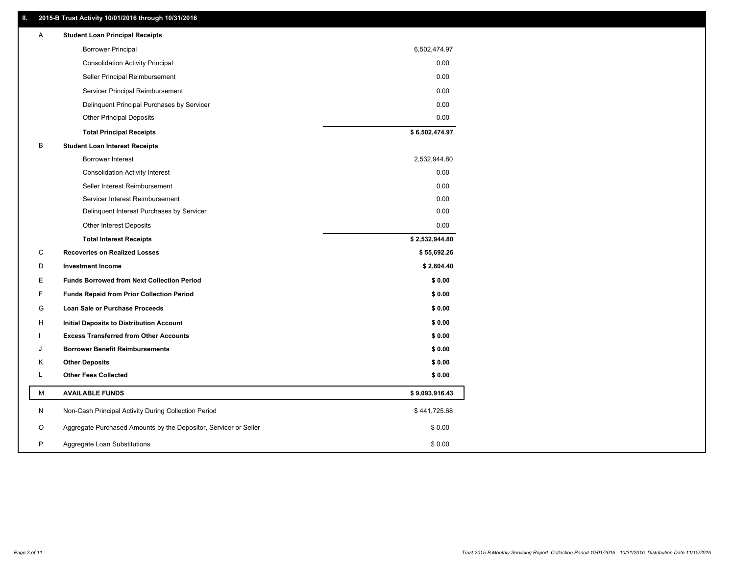### **II. 2015-B Trust Activity 10/01/2016 through 10/31/2016**

| Α | <b>Student Loan Principal Receipts</b>                           |                |
|---|------------------------------------------------------------------|----------------|
|   | <b>Borrower Principal</b>                                        | 6,502,474.97   |
|   | <b>Consolidation Activity Principal</b>                          | 0.00           |
|   | Seller Principal Reimbursement                                   | 0.00           |
|   | Servicer Principal Reimbursement                                 | 0.00           |
|   | Delinquent Principal Purchases by Servicer                       | 0.00           |
|   | <b>Other Principal Deposits</b>                                  | 0.00           |
|   | <b>Total Principal Receipts</b>                                  | \$6,502,474.97 |
| В | <b>Student Loan Interest Receipts</b>                            |                |
|   | <b>Borrower Interest</b>                                         | 2,532,944.80   |
|   | <b>Consolidation Activity Interest</b>                           | 0.00           |
|   | Seller Interest Reimbursement                                    | 0.00           |
|   | Servicer Interest Reimbursement                                  | 0.00           |
|   | Delinquent Interest Purchases by Servicer                        | 0.00           |
|   | <b>Other Interest Deposits</b>                                   | 0.00           |
|   | <b>Total Interest Receipts</b>                                   | \$2,532,944.80 |
| C | <b>Recoveries on Realized Losses</b>                             | \$55,692.26    |
| D | <b>Investment Income</b>                                         | \$2,804.40     |
| Е | <b>Funds Borrowed from Next Collection Period</b>                | \$0.00         |
| F | <b>Funds Repaid from Prior Collection Period</b>                 | \$0.00         |
| G | Loan Sale or Purchase Proceeds                                   | \$0.00         |
| н | Initial Deposits to Distribution Account                         | \$0.00         |
|   | <b>Excess Transferred from Other Accounts</b>                    | \$0.00         |
| J | <b>Borrower Benefit Reimbursements</b>                           | \$0.00         |
| Κ | <b>Other Deposits</b>                                            | \$0.00         |
| Г | <b>Other Fees Collected</b>                                      | \$0.00         |
| М | <b>AVAILABLE FUNDS</b>                                           | \$9,093,916.43 |
| N | Non-Cash Principal Activity During Collection Period             | \$441,725.68   |
| O | Aggregate Purchased Amounts by the Depositor, Servicer or Seller | \$0.00         |
| P | Aggregate Loan Substitutions                                     | \$0.00         |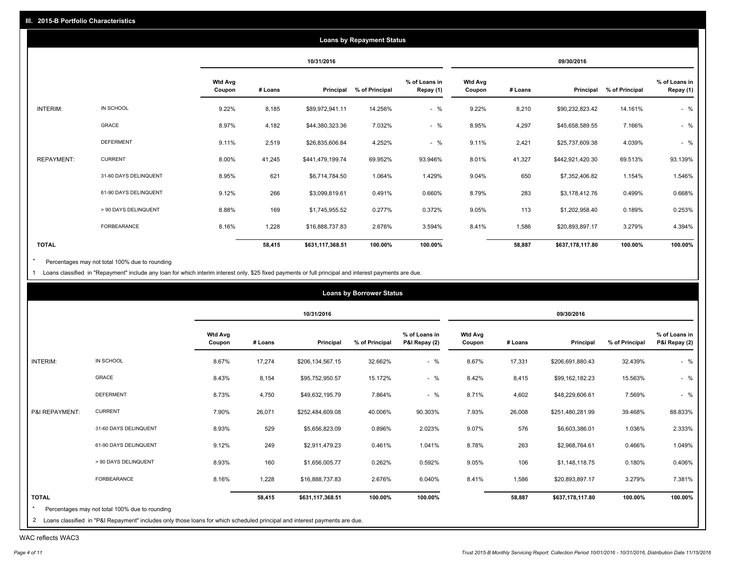|                   |                       |                          |         |                  | <b>Loans by Repayment Status</b> |                            |                          |         |                  |                |                            |
|-------------------|-----------------------|--------------------------|---------|------------------|----------------------------------|----------------------------|--------------------------|---------|------------------|----------------|----------------------------|
|                   |                       |                          |         | 10/31/2016       |                                  |                            |                          |         | 09/30/2016       |                |                            |
|                   |                       | <b>Wtd Avg</b><br>Coupon | # Loans | Principal        | % of Principal                   | % of Loans in<br>Repay (1) | <b>Wtd Avg</b><br>Coupon | # Loans | Principal        | % of Principal | % of Loans in<br>Repay (1) |
| INTERIM:          | IN SCHOOL             | 9.22%                    | 8,185   | \$89,972,941.11  | 14.256%                          | $-$ %                      | 9.22%                    | 8,210   | \$90,232,823.42  | 14.161%        | $-$ %                      |
|                   | GRACE                 | 8.97%                    | 4,182   | \$44,380,323.36  | 7.032%                           | $-$ %                      | 8.95%                    | 4,297   | \$45,658,589.55  | 7.166%         | $-$ %                      |
|                   | <b>DEFERMENT</b>      | 9.11%                    | 2,519   | \$26,835,606.84  | 4.252%                           | $-$ %                      | 9.11%                    | 2,421   | \$25,737,609.38  | 4.039%         | $-$ %                      |
| <b>REPAYMENT:</b> | <b>CURRENT</b>        | 8.00%                    | 41,245  | \$441,479,199.74 | 69.952%                          | 93.946%                    | 8.01%                    | 41,327  | \$442,921,420.30 | 69.513%        | 93.139%                    |
|                   | 31-60 DAYS DELINQUENT | 8.95%                    | 621     | \$6,714,784.50   | 1.064%                           | 1.429%                     | 9.04%                    | 650     | \$7,352,406.82   | 1.154%         | 1.546%                     |
|                   | 61-90 DAYS DELINQUENT | 9.12%                    | 266     | \$3,099,819.61   | 0.491%                           | 0.660%                     | 8.79%                    | 283     | \$3,178,412.76   | 0.499%         | 0.668%                     |
|                   | > 90 DAYS DELINQUENT  | 8.88%                    | 169     | \$1,745,955.52   | 0.277%                           | 0.372%                     | 9.05%                    | 113     | \$1,202,958.40   | 0.189%         | 0.253%                     |
|                   | <b>FORBEARANCE</b>    | 8.16%                    | 1,228   | \$16,888,737.83  | 2.676%                           | 3.594%                     | 8.41%                    | 1,586   | \$20,893,897.17  | 3.279%         | 4.394%                     |
| <b>TOTAL</b>      |                       |                          | 58,415  | \$631,117,368.51 | 100.00%                          | 100.00%                    |                          | 58,887  | \$637,178,117.80 | 100.00%        | 100.00%                    |

Percentages may not total 100% due to rounding  $^\star$ 

1 Loans classified in "Repayment" include any loan for which interim interest only, \$25 fixed payments or full principal and interest payments are due.

|                 |                                                |                          |         |                  | <b>Loans by Borrower Status</b> |                                |                          |         |                  |                |                                |
|-----------------|------------------------------------------------|--------------------------|---------|------------------|---------------------------------|--------------------------------|--------------------------|---------|------------------|----------------|--------------------------------|
|                 |                                                |                          |         | 10/31/2016       |                                 |                                |                          |         | 09/30/2016       |                |                                |
|                 |                                                | <b>Wtd Avg</b><br>Coupon | # Loans | Principal        | % of Principal                  | % of Loans in<br>P&I Repay (2) | <b>Wtd Avg</b><br>Coupon | # Loans | Principal        | % of Principal | % of Loans in<br>P&I Repay (2) |
| <b>INTERIM:</b> | IN SCHOOL                                      | 8.67%                    | 17,274  | \$206,134,567.15 | 32.662%                         | $-$ %                          | 8.67%                    | 17,331  | \$206,691,880.43 | 32.439%        | $-$ %                          |
|                 | GRACE                                          | 8.43%                    | 8,154   | \$95,752,950.57  | 15.172%                         | $-$ %                          | 8.42%                    | 8,415   | \$99,162,182.23  | 15.563%        | $-$ %                          |
|                 | <b>DEFERMENT</b>                               | 8.73%                    | 4,750   | \$49,632,195.79  | 7.864%                          | $-$ %                          | 8.71%                    | 4,602   | \$48,229,606.61  | 7.569%         | $-$ %                          |
| P&I REPAYMENT:  | <b>CURRENT</b>                                 | 7.90%                    | 26,071  | \$252,484,609.08 | 40.006%                         | 90.303%                        | 7.93%                    | 26,008  | \$251,480,281.99 | 39.468%        | 88.833%                        |
|                 | 31-60 DAYS DELINQUENT                          | 8.93%                    | 529     | \$5,656,823.09   | 0.896%                          | 2.023%                         | 9.07%                    | 576     | \$6,603,386.01   | 1.036%         | 2.333%                         |
|                 | 61-90 DAYS DELINQUENT                          | 9.12%                    | 249     | \$2,911,479.23   | 0.461%                          | 1.041%                         | 8.78%                    | 263     | \$2,968,764.61   | 0.466%         | 1.049%                         |
|                 | > 90 DAYS DELINQUENT                           | 8.93%                    | 160     | \$1,656,005.77   | 0.262%                          | 0.592%                         | 9.05%                    | 106     | \$1,148,118.75   | 0.180%         | 0.406%                         |
|                 | FORBEARANCE                                    | 8.16%                    | 1,228   | \$16,888,737.83  | 2.676%                          | 6.040%                         | 8.41%                    | 1,586   | \$20,893,897.17  | 3.279%         | 7.381%                         |
| <b>TOTAL</b>    |                                                |                          | 58,415  | \$631,117,368.51 | 100.00%                         | 100.00%                        |                          | 58,887  | \$637,178,117.80 | 100.00%        | 100.00%                        |
|                 | Percentages may not total 100% due to rounding |                          |         |                  |                                 |                                |                          |         |                  |                |                                |

WAC reflects WAC3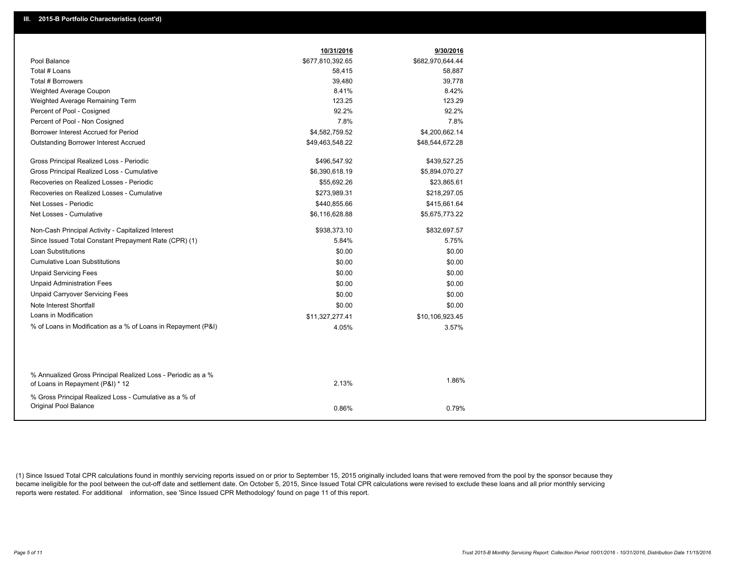|                                                                                                  | 10/31/2016       | 9/30/2016        |
|--------------------------------------------------------------------------------------------------|------------------|------------------|
| Pool Balance                                                                                     | \$677,810,392.65 | \$682,970,644.44 |
| Total # Loans                                                                                    | 58,415           | 58,887           |
| <b>Total # Borrowers</b>                                                                         | 39,480           | 39,778           |
| Weighted Average Coupon                                                                          | 8.41%            | 8.42%            |
| Weighted Average Remaining Term                                                                  | 123.25           | 123.29           |
| Percent of Pool - Cosigned                                                                       | 92.2%            | 92.2%            |
| Percent of Pool - Non Cosigned                                                                   | 7.8%             | 7.8%             |
| Borrower Interest Accrued for Period                                                             | \$4,582,759.52   | \$4,200,662.14   |
| Outstanding Borrower Interest Accrued                                                            | \$49,463,548.22  | \$48,544,672.28  |
| Gross Principal Realized Loss - Periodic                                                         | \$496,547.92     | \$439,527.25     |
| Gross Principal Realized Loss - Cumulative                                                       | \$6,390,618.19   | \$5,894,070.27   |
| Recoveries on Realized Losses - Periodic                                                         | \$55,692.26      | \$23,865.61      |
| Recoveries on Realized Losses - Cumulative                                                       | \$273,989.31     | \$218,297.05     |
| Net Losses - Periodic                                                                            | \$440,855.66     | \$415,661.64     |
| Net Losses - Cumulative                                                                          | \$6,116,628.88   | \$5,675,773.22   |
| Non-Cash Principal Activity - Capitalized Interest                                               | \$938,373.10     | \$832,697.57     |
| Since Issued Total Constant Prepayment Rate (CPR) (1)                                            | 5.84%            | 5.75%            |
| Loan Substitutions                                                                               | \$0.00           | \$0.00           |
| <b>Cumulative Loan Substitutions</b>                                                             | \$0.00           | \$0.00           |
| <b>Unpaid Servicing Fees</b>                                                                     | \$0.00           | \$0.00           |
| <b>Unpaid Administration Fees</b>                                                                | \$0.00           | \$0.00           |
| <b>Unpaid Carryover Servicing Fees</b>                                                           | \$0.00           | \$0.00           |
| Note Interest Shortfall                                                                          | \$0.00           | \$0.00           |
| Loans in Modification                                                                            | \$11,327,277.41  | \$10,106,923.45  |
| % of Loans in Modification as a % of Loans in Repayment (P&I)                                    | 4.05%            | 3.57%            |
|                                                                                                  |                  |                  |
|                                                                                                  |                  |                  |
| % Annualized Gross Principal Realized Loss - Periodic as a %<br>of Loans in Repayment (P&I) * 12 | 2.13%            | 1.86%            |
| % Gross Principal Realized Loss - Cumulative as a % of                                           |                  |                  |
| Original Pool Balance                                                                            | 0.86%            | 0.79%            |
|                                                                                                  |                  |                  |

(1) Since Issued Total CPR calculations found in monthly servicing reports issued on or prior to September 15, 2015 originally included loans that were removed from the pool by the sponsor because they became ineligible for the pool between the cut-off date and settlement date. On October 5, 2015, Since Issued Total CPR calculations were revised to exclude these loans and all prior monthly servicing reports were restated. For additional information, see 'Since Issued CPR Methodology' found on page 11 of this report.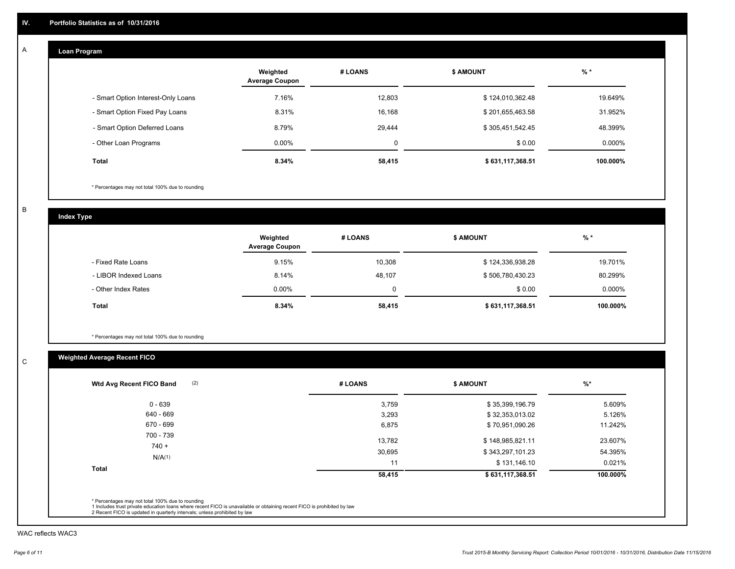#### **Loan Program**  A

|                                    | Weighted<br><b>Average Coupon</b> | # LOANS     | <b>\$ AMOUNT</b> | $%$ *    |
|------------------------------------|-----------------------------------|-------------|------------------|----------|
| - Smart Option Interest-Only Loans | 7.16%                             | 12,803      | \$124,010,362.48 | 19.649%  |
| - Smart Option Fixed Pay Loans     | 8.31%                             | 16,168      | \$201,655,463.58 | 31.952%  |
| - Smart Option Deferred Loans      | 8.79%                             | 29.444      | \$305,451,542.45 | 48.399%  |
| - Other Loan Programs              | $0.00\%$                          | $\mathbf 0$ | \$0.00           | 0.000%   |
| <b>Total</b>                       | 8.34%                             | 58,415      | \$631,117,368.51 | 100.000% |

\* Percentages may not total 100% due to rounding

B

C

**Index Type**

|                       | Weighted<br><b>Average Coupon</b> | # LOANS | <b>\$ AMOUNT</b> | % *       |
|-----------------------|-----------------------------------|---------|------------------|-----------|
| - Fixed Rate Loans    | 9.15%                             | 10,308  | \$124,336,938.28 | 19.701%   |
| - LIBOR Indexed Loans | 8.14%                             | 48,107  | \$506,780,430.23 | 80.299%   |
| - Other Index Rates   | $0.00\%$                          | 0       | \$0.00           | $0.000\%$ |
| <b>Total</b>          | 8.34%                             | 58,415  | \$631,117,368.51 | 100.000%  |

\* Percentages may not total 100% due to rounding

## **Weighted Average Recent FICO**

| (2)<br>Wtd Avg Recent FICO Band | # LOANS | <b>\$ AMOUNT</b> | $%$ *    |
|---------------------------------|---------|------------------|----------|
| $0 - 639$                       | 3,759   | \$35,399,196.79  | 5.609%   |
| 640 - 669                       | 3,293   | \$32,353,013.02  | 5.126%   |
| 670 - 699                       | 6,875   | \$70,951,090.26  | 11.242%  |
| 700 - 739<br>$740 +$            | 13,782  | \$148,985,821.11 | 23.607%  |
|                                 | 30,695  | \$343,297,101.23 | 54.395%  |
| N/A(1)                          | 11      | \$131,146.10     | 0.021%   |
| <b>Total</b>                    | 58,415  | \$631,117,368.51 | 100.000% |

WAC reflects WAC3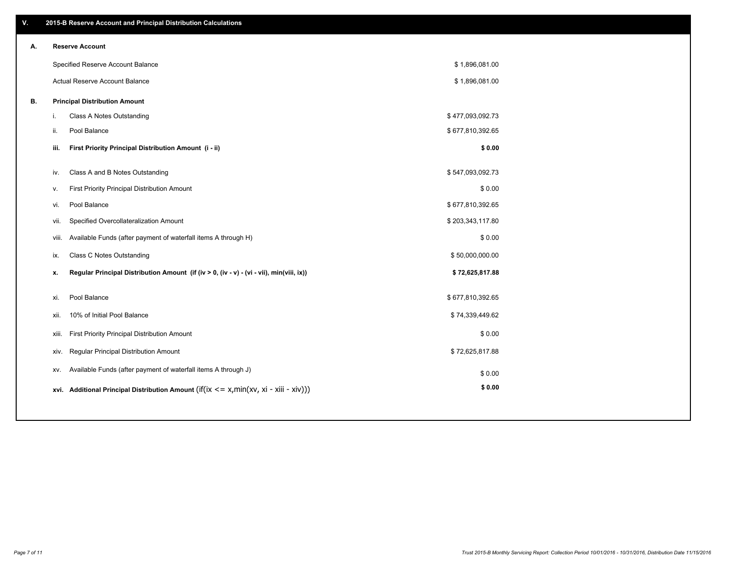| ۷. |      | 2015-B Reserve Account and Principal Distribution Calculations                             |                  |  |
|----|------|--------------------------------------------------------------------------------------------|------------------|--|
| А. |      | <b>Reserve Account</b>                                                                     |                  |  |
|    |      | Specified Reserve Account Balance                                                          | \$1,896,081.00   |  |
|    |      | Actual Reserve Account Balance                                                             | \$1,896,081.00   |  |
| В. |      | <b>Principal Distribution Amount</b>                                                       |                  |  |
|    | i.   | Class A Notes Outstanding                                                                  | \$477,093,092.73 |  |
|    | ii.  | Pool Balance                                                                               | \$677,810,392.65 |  |
|    | iii. | First Priority Principal Distribution Amount (i - ii)                                      | \$0.00           |  |
|    |      |                                                                                            |                  |  |
|    | iv.  | Class A and B Notes Outstanding                                                            | \$547,093,092.73 |  |
|    | v.   | First Priority Principal Distribution Amount                                               | \$0.00           |  |
|    | vi.  | Pool Balance                                                                               | \$677,810,392.65 |  |
|    | vii. | Specified Overcollateralization Amount                                                     | \$203,343,117.80 |  |
|    |      | Available Funds (after payment of waterfall items A through H)<br>viii.                    | \$0.00           |  |
|    | ix.  | <b>Class C Notes Outstanding</b>                                                           | \$50,000,000.00  |  |
|    | x.   | Regular Principal Distribution Amount (if (iv > 0, (iv - v) - (vi - vii), min(viii, ix))   | \$72,625,817.88  |  |
|    | xi.  | Pool Balance                                                                               | \$677,810,392.65 |  |
|    | xii. | 10% of Initial Pool Balance                                                                | \$74,339,449.62  |  |
|    |      |                                                                                            |                  |  |
|    |      | First Priority Principal Distribution Amount<br>xiii.                                      | \$0.00           |  |
|    |      | <b>Regular Principal Distribution Amount</b><br>xiv.                                       | \$72,625,817.88  |  |
|    | XV.  | Available Funds (after payment of waterfall items A through J)                             | \$0.00           |  |
|    |      | xvi. Additional Principal Distribution Amount (if(ix $\lt$ = x, min(xv, xi - xiii - xiv))) | \$0.00           |  |
|    |      |                                                                                            |                  |  |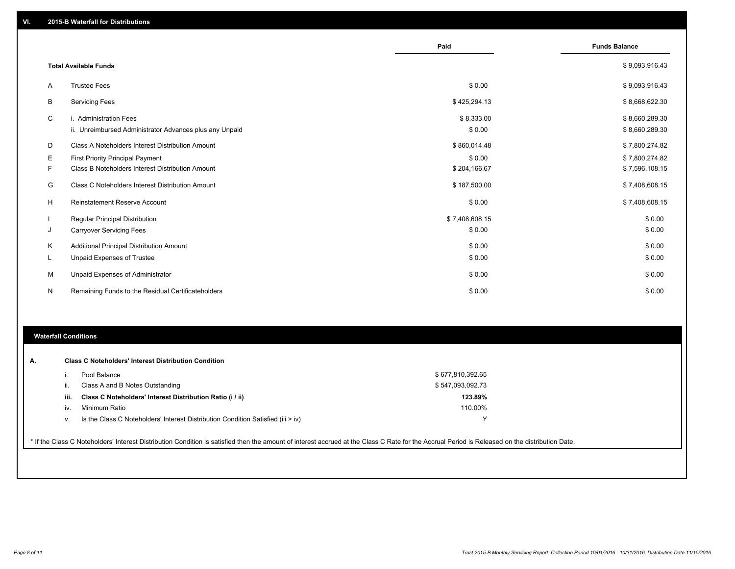|    |                                                         | Paid           | <b>Funds Balance</b> |
|----|---------------------------------------------------------|----------------|----------------------|
|    |                                                         |                |                      |
|    | <b>Total Available Funds</b>                            |                | \$9,093,916.43       |
| A  | <b>Trustee Fees</b>                                     | \$0.00         | \$9,093,916.43       |
| B  | <b>Servicing Fees</b>                                   | \$425,294.13   | \$8,668,622.30       |
| C  | i. Administration Fees                                  | \$8,333.00     | \$8,660,289.30       |
|    | ii. Unreimbursed Administrator Advances plus any Unpaid | \$0.00         | \$8,660,289.30       |
| D  | Class A Noteholders Interest Distribution Amount        | \$860,014.48   | \$7,800,274.82       |
| Ε  | <b>First Priority Principal Payment</b>                 | \$0.00         | \$7,800,274.82       |
| F  | Class B Noteholders Interest Distribution Amount        | \$204,166.67   | \$7,596,108.15       |
| G  | Class C Noteholders Interest Distribution Amount        | \$187,500.00   | \$7,408,608.15       |
| н  | Reinstatement Reserve Account                           | \$0.00         | \$7,408,608.15       |
|    | <b>Regular Principal Distribution</b>                   | \$7,408,608.15 | \$0.00               |
| J  | <b>Carryover Servicing Fees</b>                         | \$0.00         | \$0.00               |
| К  | Additional Principal Distribution Amount                | \$0.00         | \$0.00               |
| ч. | <b>Unpaid Expenses of Trustee</b>                       | \$0.00         | \$0.00               |
| М  | Unpaid Expenses of Administrator                        | \$0.00         | \$0.00               |
| N  | Remaining Funds to the Residual Certificateholders      | \$0.00         | \$0.00               |

#### **Waterfall Conditions**

|      | Pool Balance                                                                       | \$677,810,392.65 |
|------|------------------------------------------------------------------------------------|------------------|
|      |                                                                                    |                  |
| Ш.   | Class A and B Notes Outstanding                                                    | \$547,093,092.73 |
| iii. | Class C Noteholders' Interest Distribution Ratio (i / ii)                          | 123.89%          |
| IV.  | Minimum Ratio                                                                      | 110.00%          |
| v.   | Is the Class C Noteholders' Interest Distribution Condition Satisfied (iii $>$ iv) | $\checkmark$     |

\* If the Class C Noteholders' Interest Distribution Condition is satisfied then the amount of interest accrued at the Class C Rate for the Accrual Period is Released on the distribution Date.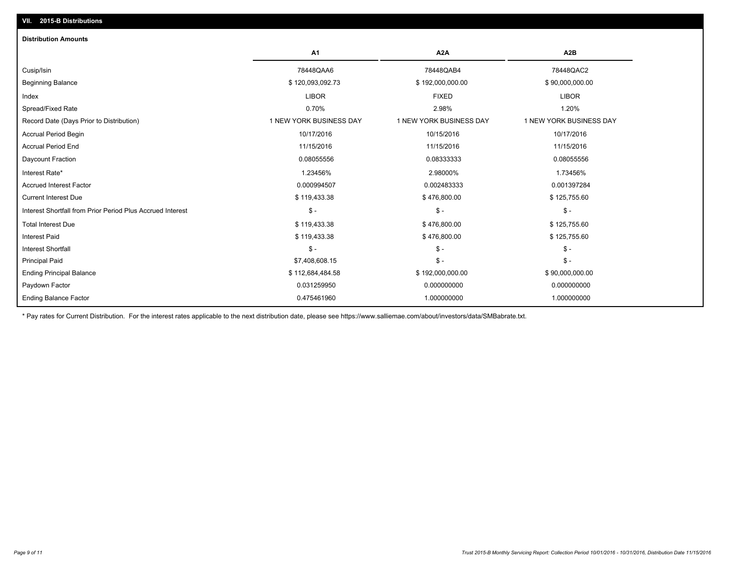| <b>Distribution Amounts</b>                                |                         |                         |                         |
|------------------------------------------------------------|-------------------------|-------------------------|-------------------------|
|                                                            | A <sub>1</sub>          | A2A                     | A2B                     |
| Cusip/Isin                                                 | 78448QAA6               | 78448QAB4               | 78448QAC2               |
| <b>Beginning Balance</b>                                   | \$120,093,092.73        | \$192,000,000.00        | \$90,000,000.00         |
| Index                                                      | <b>LIBOR</b>            | <b>FIXED</b>            | <b>LIBOR</b>            |
| Spread/Fixed Rate                                          | 0.70%                   | 2.98%                   | 1.20%                   |
| Record Date (Days Prior to Distribution)                   | 1 NEW YORK BUSINESS DAY | 1 NEW YORK BUSINESS DAY | 1 NEW YORK BUSINESS DAY |
| <b>Accrual Period Begin</b>                                | 10/17/2016              | 10/15/2016              | 10/17/2016              |
| <b>Accrual Period End</b>                                  | 11/15/2016              | 11/15/2016              | 11/15/2016              |
| Daycount Fraction                                          | 0.08055556              | 0.08333333              | 0.08055556              |
| Interest Rate*                                             | 1.23456%                | 2.98000%                | 1.73456%                |
| <b>Accrued Interest Factor</b>                             | 0.000994507             | 0.002483333             | 0.001397284             |
| <b>Current Interest Due</b>                                | \$119,433.38            | \$476,800.00            | \$125,755.60            |
| Interest Shortfall from Prior Period Plus Accrued Interest | $\mathbb{S}$ -          | $\mathsf{\$}$ -         | $\mathsf{\$}$ -         |
| <b>Total Interest Due</b>                                  | \$119,433.38            | \$476,800.00            | \$125,755.60            |
| <b>Interest Paid</b>                                       | \$119,433.38            | \$476,800.00            | \$125,755.60            |
| <b>Interest Shortfall</b>                                  | $\mathbb{S}$ -          | $\frac{2}{3}$ -         | $\mathsf{\$}$ -         |
| <b>Principal Paid</b>                                      | \$7,408,608.15          | $S -$                   | $\mathsf{\$}$ -         |
| <b>Ending Principal Balance</b>                            | \$112,684,484.58        | \$192,000,000.00        | \$90,000,000.00         |
| Paydown Factor                                             | 0.031259950             | 0.000000000             | 0.000000000             |
| <b>Ending Balance Factor</b>                               | 0.475461960             | 1.000000000             | 1.000000000             |

\* Pay rates for Current Distribution. For the interest rates applicable to the next distribution date, please see https://www.salliemae.com/about/investors/data/SMBabrate.txt.

**VII. 2015-B Distributions**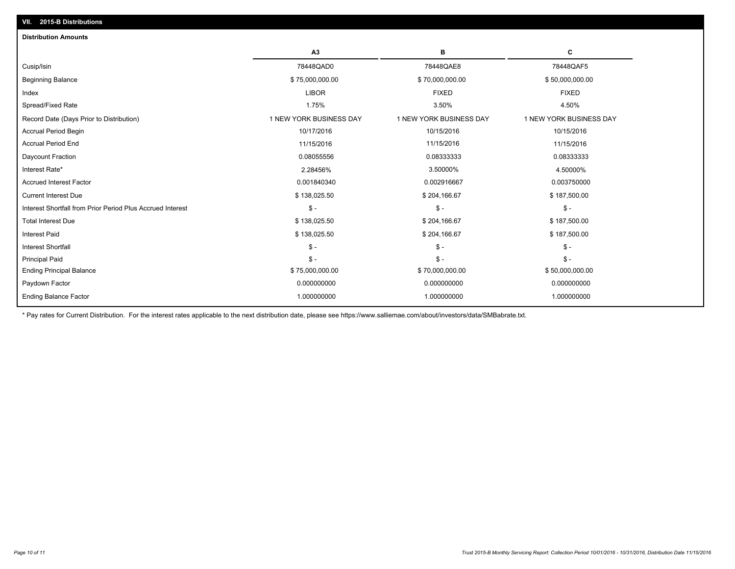| <b>Distribution Amounts</b>                                |                         |                         |                         |
|------------------------------------------------------------|-------------------------|-------------------------|-------------------------|
|                                                            | A <sub>3</sub>          | в                       | С                       |
| Cusip/Isin                                                 | 78448QAD0               | 78448QAE8               | 78448QAF5               |
| <b>Beginning Balance</b>                                   | \$75,000,000.00         | \$70,000,000.00         | \$50,000,000.00         |
| Index                                                      | <b>LIBOR</b>            | <b>FIXED</b>            | <b>FIXED</b>            |
| Spread/Fixed Rate                                          | 1.75%                   | 3.50%                   | 4.50%                   |
| Record Date (Days Prior to Distribution)                   | 1 NEW YORK BUSINESS DAY | 1 NEW YORK BUSINESS DAY | 1 NEW YORK BUSINESS DAY |
| <b>Accrual Period Begin</b>                                | 10/17/2016              | 10/15/2016              | 10/15/2016              |
| <b>Accrual Period End</b>                                  | 11/15/2016              | 11/15/2016              | 11/15/2016              |
| Daycount Fraction                                          | 0.08055556              | 0.08333333              | 0.08333333              |
| Interest Rate*                                             | 2.28456%                | 3.50000%                | 4.50000%                |
| <b>Accrued Interest Factor</b>                             | 0.001840340             | 0.002916667             | 0.003750000             |
| <b>Current Interest Due</b>                                | \$138,025.50            | \$204,166.67            | \$187,500.00            |
| Interest Shortfall from Prior Period Plus Accrued Interest | $S -$                   | $\frac{1}{2}$           | $$ -$                   |
| <b>Total Interest Due</b>                                  | \$138,025.50            | \$204,166.67            | \$187,500.00            |
| <b>Interest Paid</b>                                       | \$138,025.50            | \$204,166.67            | \$187,500.00            |
| <b>Interest Shortfall</b>                                  | $S -$                   | $\mathsf{\$}$ -         | $\mathsf{\$}$ -         |
| <b>Principal Paid</b>                                      | $S -$                   | $\mathsf{\$}$ -         | $S -$                   |
| <b>Ending Principal Balance</b>                            | \$75,000,000.00         | \$70,000,000.00         | \$50,000,000.00         |
| Paydown Factor                                             | 0.000000000             | 0.000000000             | 0.000000000             |
| <b>Ending Balance Factor</b>                               | 1.000000000             | 1.000000000             | 1.000000000             |

\* Pay rates for Current Distribution. For the interest rates applicable to the next distribution date, please see https://www.salliemae.com/about/investors/data/SMBabrate.txt.

**VII. 2015-B Distributions**